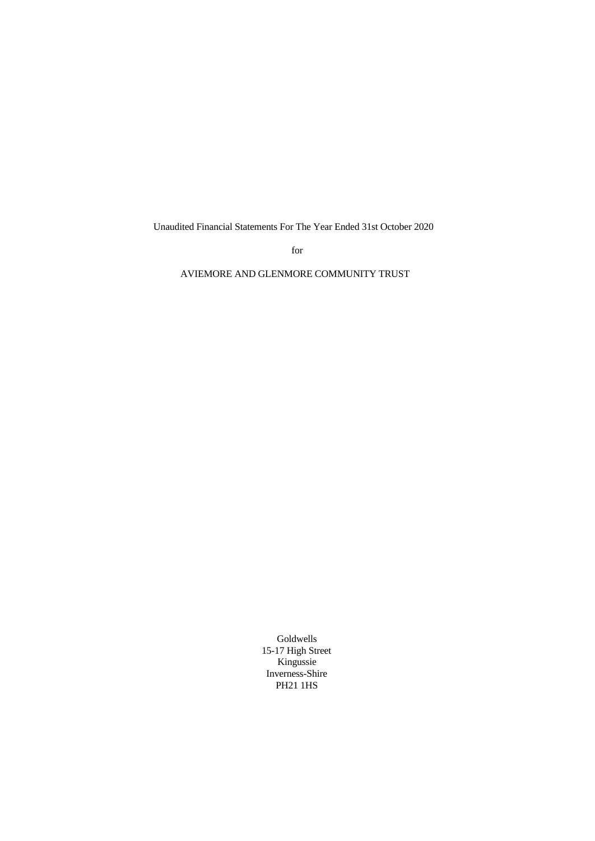Unaudited Financial Statements For The Year Ended 31st October 2020

for

AVIEMORE AND GLENMORE COMMUNITY TRUST

Goldwells 15-17 High Street Kingussie Inverness-Shire PH21 1HS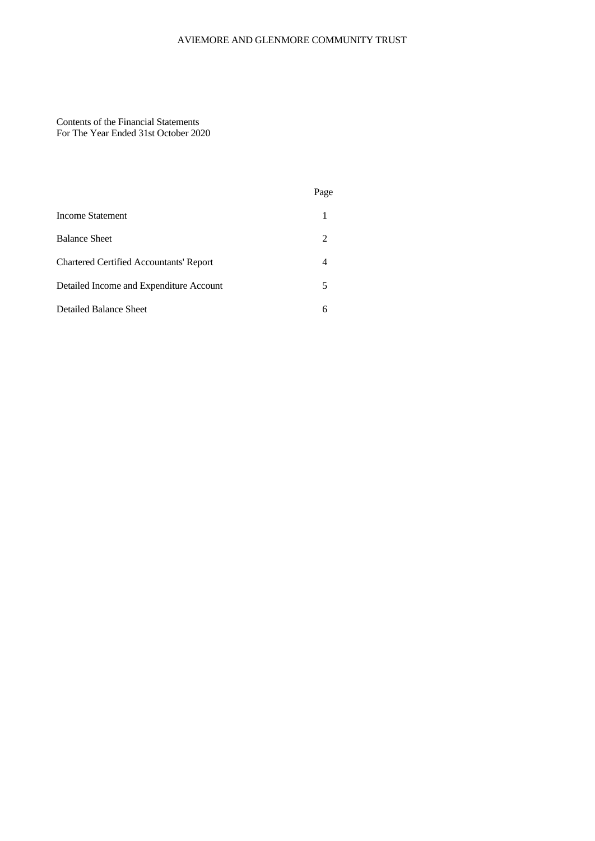# AVIEMORE AND GLENMORE COMMUNITY TRUST

Contents of the Financial Statements For The Year Ended 31st October 2020

|                                                | Page |
|------------------------------------------------|------|
| Income Statement                               | 1    |
| <b>Balance Sheet</b>                           | 2    |
| <b>Chartered Certified Accountants' Report</b> | 4    |
| Detailed Income and Expenditure Account        | 5    |
| Detailed Balance Sheet                         | 6    |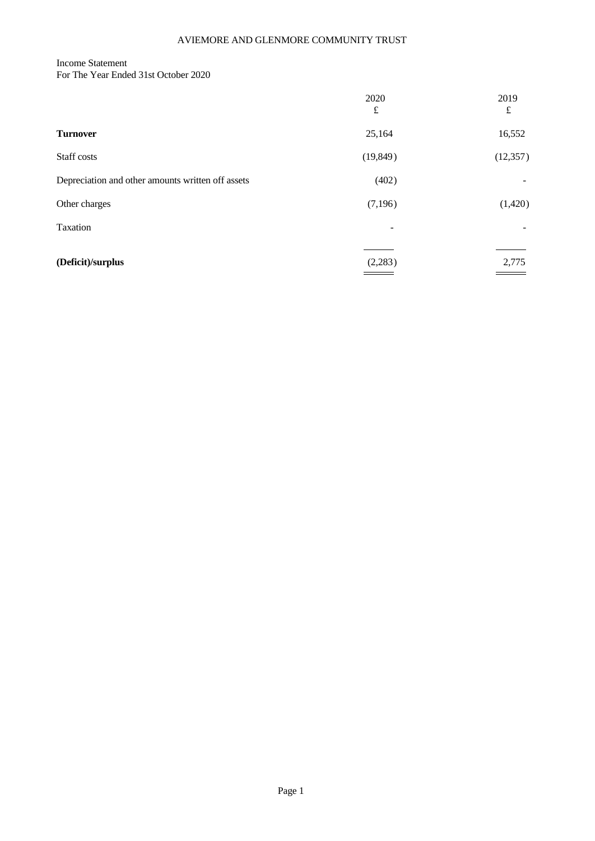# Income Statement

For The Year Ended 31st October 2020

|                                                   | 2020<br>$\pounds$        | 2019<br>$\pounds$        |
|---------------------------------------------------|--------------------------|--------------------------|
| <b>Turnover</b>                                   | 25,164                   | 16,552                   |
| Staff costs                                       | (19, 849)                | (12, 357)                |
| Depreciation and other amounts written off assets | (402)                    | $\overline{\phantom{0}}$ |
| Other charges                                     | (7,196)                  | (1,420)                  |
| Taxation                                          | $\overline{\phantom{a}}$ | $\overline{\phantom{a}}$ |
| (Deficit)/surplus                                 | (2,283)                  | 2,775                    |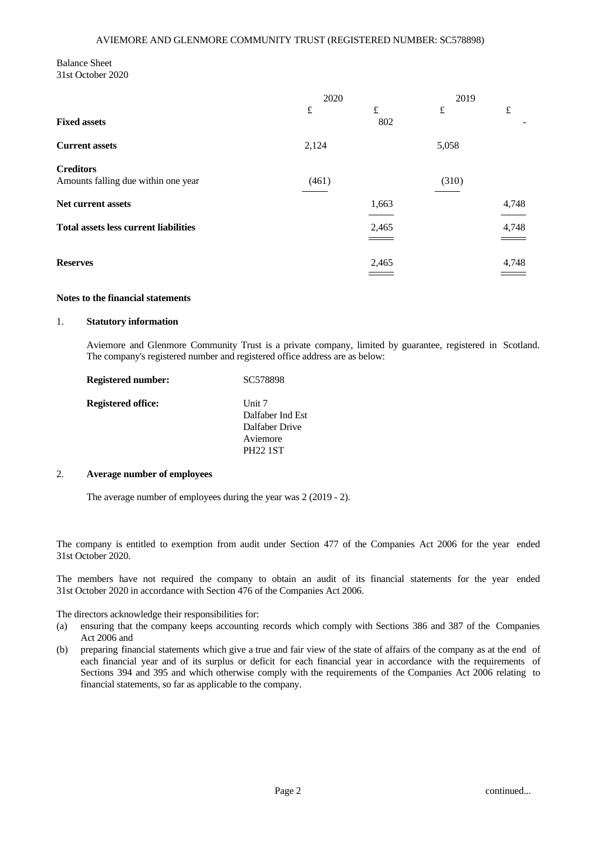## Balance Sheet 31st October 2020

|                                                         | 2020      |                  | 2019  |                                       |
|---------------------------------------------------------|-----------|------------------|-------|---------------------------------------|
| <b>Fixed assets</b>                                     | $\pounds$ | $\pounds$<br>802 | £     | $\pounds$<br>$\overline{\phantom{a}}$ |
| <b>Current assets</b>                                   | 2,124     |                  | 5,058 |                                       |
| <b>Creditors</b><br>Amounts falling due within one year | (461)     |                  | (310) |                                       |
| Net current assets                                      |           | 1,663            |       | 4,748                                 |
| <b>Total assets less current liabilities</b>            |           | 2,465<br>___     |       | 4,748                                 |
| <b>Reserves</b>                                         |           | 2,465<br>____    |       | 4,748                                 |

## **Notes to the financial statements**

#### 1. **Statutory information**

Aviemore and Glenmore Community Trust is a private company, limited by guarantee, registered in Scotland. The company's registered number and registered office address are as below:

| <b>Registered number:</b> | SC578898         |  |
|---------------------------|------------------|--|
| <b>Registered office:</b> | Unit $7$         |  |
|                           | Dalfaber Ind Est |  |
|                           | Dalfaber Drive   |  |
|                           | Aviemore         |  |
|                           | <b>PH22 1ST</b>  |  |

#### 2. **Average number of employees**

The average number of employees during the year was 2 (2019 - 2).

The company is entitled to exemption from audit under Section 477 of the Companies Act 2006 for the year ended 31st October 2020.

The members have not required the company to obtain an audit of its financial statements for the year ended 31st October 2020 in accordance with Section 476 of the Companies Act 2006.

The directors acknowledge their responsibilities for:

- (a) ensuring that the company keeps accounting records which comply with Sections 386 and 387 of the Companies Act 2006 and
- (b) preparing financial statements which give a true and fair view of the state of affairs ofthe company as at the end of each financial year and of its surplus or deficit for each financial year in accordance with the requirements of Sections 394 and 395 and which otherwise comply with the requirements of the Companies Act 2006 relating to financial statements, so far as applicable to the company.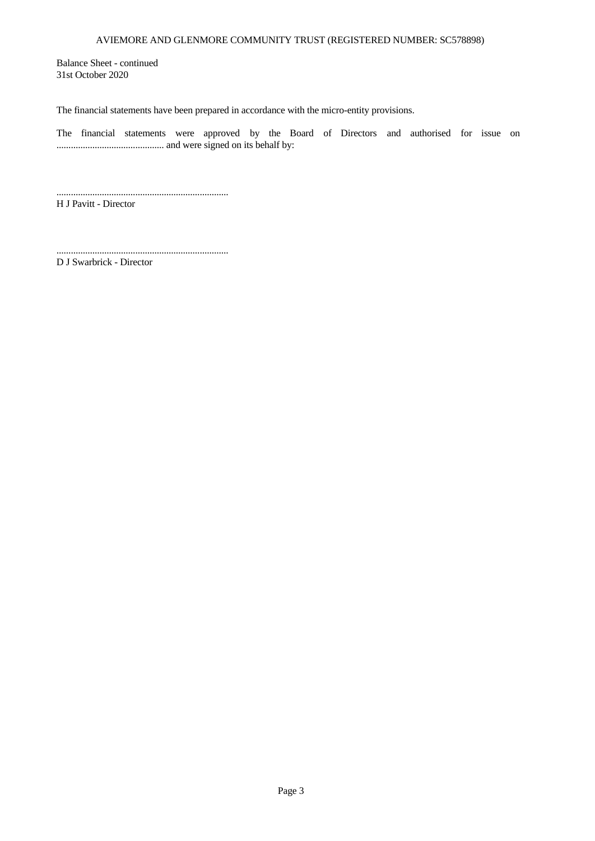Balance Sheet - continued 31st October 2020

The financial statements have been prepared in accordance with the micro-entity provisions.

The financial statements were approved by the Board of Directors and authorised for issue on ............................................. and were signed on its behalf by:

........................................................................ H J Pavitt - Director

D J Swarbrick - Director

........................................................................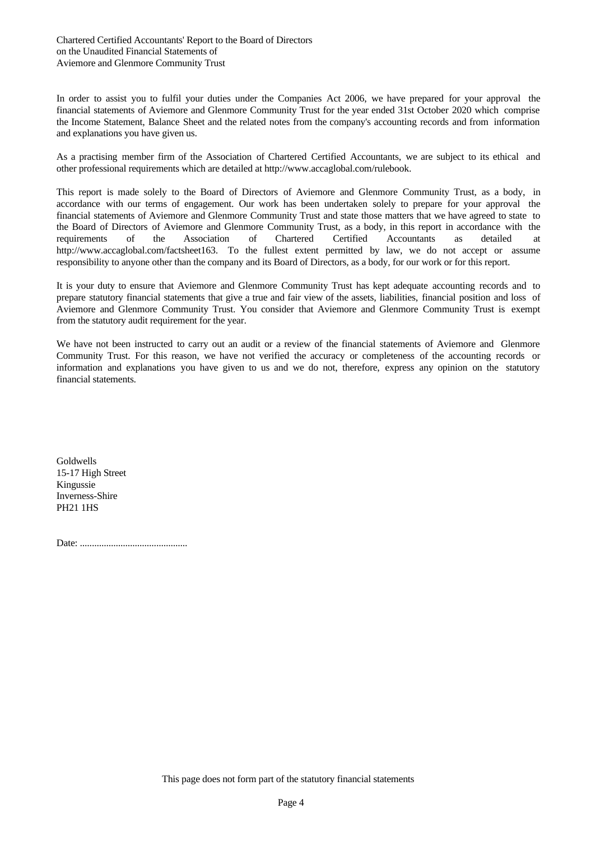In order to assist you to fulfil your duties under the Companies Act 2006, we have prepared for your approval the financial statements of Aviemore and Glenmore Community Trust for the year ended 31st October 2020 which comprise the Income Statement, Balance Sheet and the related notes from the company's accounting records and from information and explanations you have given us.

As a practising member firm of the Association of Chartered Certified Accountants, we are subject to its ethical and other professional requirements which are detailed at http://www.accaglobal.com/rulebook.

This report is made solely to the Board of Directors of Aviemore and Glenmore Community Trust, as a body, in accordance with our terms of engagement. Our work has been undertaken solely to prepare for your approval the financial statements of Aviemore and Glenmore Community Trust and state those matters that we have agreed to state to the Board of Directors of Aviemore and Glenmore Community Trust, as a body, in this report in accordance with the requirements of the Association of Chartered Certified Accountants as detailed at http://www.accaglobal.com/factsheet163. To the fullest extent permitted by law, we do not accept or assume responsibility to anyone other than the company and its Board of Directors, as a body, for our work or for this report.

It is your duty to ensure that Aviemore and Glenmore Community Trust has keptadequate accounting records and to prepare statutory financial statements that give a true and fair view of the assets, liabilities, financial position and loss of Aviemore and Glenmore Community Trust. You consider that Aviemore and Glenmore Community Trust is exempt from the statutory audit requirement for the year.

We have not been instructed to carry out an audit or a review of the financial statements of Aviemore and Glenmore Community Trust. For this reason, we have not verified the accuracy or completeness of the accounting records or information and explanations you have given to us and we do not, therefore, express any opinion on the statutory financial statements.

Goldwells 15-17 High Street Kingussie Inverness-Shire PH21 1HS

Date: .............................................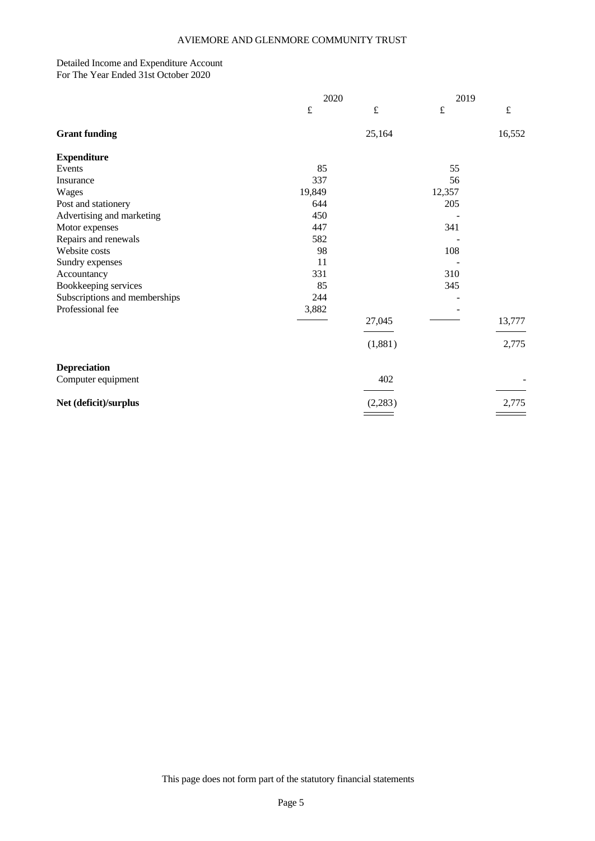#### Detailed Income and Expenditure Account For The Year Ended 31st October 2020

|                               | 2020      |           | 2019      |           |  |
|-------------------------------|-----------|-----------|-----------|-----------|--|
|                               | $\pounds$ | $\pounds$ | $\pounds$ | $\pounds$ |  |
| <b>Grant funding</b>          |           | 25,164    |           | 16,552    |  |
| <b>Expenditure</b>            |           |           |           |           |  |
| Events                        | 85        |           | 55        |           |  |
| Insurance                     | 337       |           | 56        |           |  |
| Wages                         | 19,849    |           | 12,357    |           |  |
| Post and stationery           | 644       |           | 205       |           |  |
| Advertising and marketing     | 450       |           |           |           |  |
| Motor expenses                | 447       |           | 341       |           |  |
| Repairs and renewals          | 582       |           |           |           |  |
| Website costs                 | 98        |           | 108       |           |  |
| Sundry expenses               | 11        |           |           |           |  |
| Accountancy                   | 331       |           | 310       |           |  |
| Bookkeeping services          | 85        |           | 345       |           |  |
| Subscriptions and memberships | 244       |           |           |           |  |
| Professional fee              | 3,882     |           |           |           |  |
|                               |           | 27,045    |           | 13,777    |  |
|                               |           | (1,881)   |           | 2,775     |  |
| <b>Depreciation</b>           |           |           |           |           |  |
| Computer equipment            |           | 402       |           |           |  |
| Net (deficit)/surplus         |           | (2,283)   |           | 2,775     |  |
|                               |           |           |           |           |  |